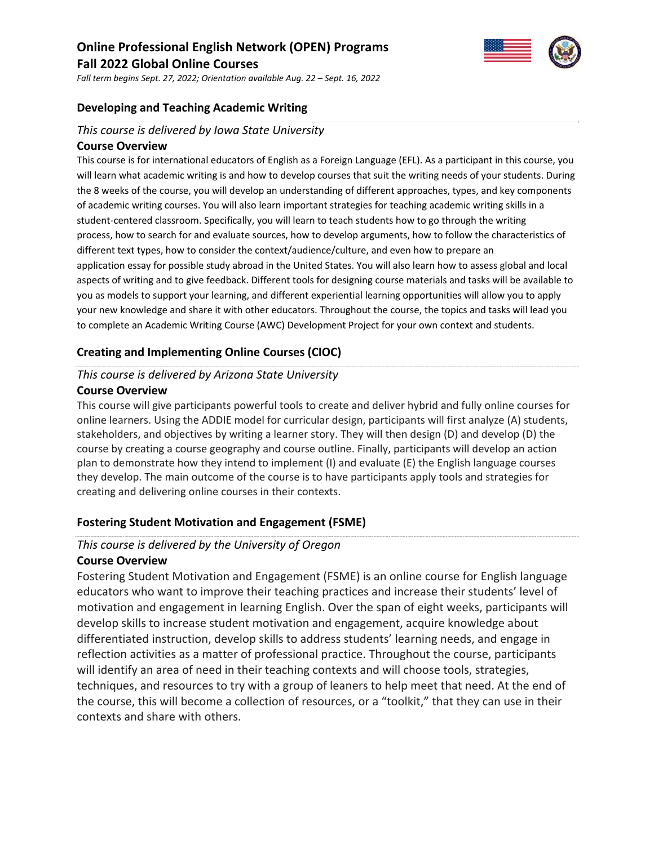# **Online Professional English Network (OPEN) Programs Fall 2022 Global Online Courses**



*Fall term begins Sept. 27, 2022; Orientation available Aug. 22 – Sept. 16, 2022*

#### **Developing and Teaching Academic Writing**

#### *This course is delivered by Iowa State University*

#### **Course Overview**

This course is for international educators of English as a Foreign Language (EFL). As a participant in this course, you will learn what academic writing is and how to develop courses that suit the writing needs of your students. During the 8 weeks of the course, you will develop an understanding of different approaches, types, and key components of academic writing courses. You will also learn important strategies for teaching academic writing skills in a student-centered classroom. Specifically, you will learn to teach students how to go through the writing process, how to search for and evaluate sources, how to develop arguments, how to follow the characteristics of different text types, how to consider the context/audience/culture, and even how to prepare an application essay for possible study abroad in the United States. You will also learn how to assess global and local aspects of writing and to give feedback. Different tools for designing course materials and tasks will be available to you as models to support your learning, and different experiential learning opportunities will allow you to apply your new knowledge and share it with other educators. Throughout the course, the topics and tasks will lead you to complete an Academic Writing Course (AWC) Development Project for your own context and students.

#### **Creating and Implementing Online Courses (CIOC)**

# *This course is delivered by Arizona State University* **Course Overview**

This course will give participants powerful tools to create and deliver hybrid and fully online courses for online learners. Using the ADDIE model for curricular design, participants will first analyze (A) students, stakeholders, and objectives by writing a learner story. They will then design (D) and develop (D) the course by creating a course geography and course outline. Finally, participants will develop an action plan to demonstrate how they intend to implement (I) and evaluate (E) the English language courses they develop. The main outcome of the course is to have participants apply tools and strategies for creating and delivering online courses in their contexts.

## **Fostering Student Motivation and Engagement (FSME)**

#### *This course is delivered by the University of Oregon*

#### **Course Overview**

Fostering Student Motivation and Engagement (FSME) is an online course for English language educators who want to improve their teaching practices and increase their students' level of motivation and engagement in learning English. Over the span of eight weeks, participants will develop skills to increase student motivation and engagement, acquire knowledge about differentiated instruction, develop skills to address students' learning needs, and engage in reflection activities as a matter of professional practice. Throughout the course, participants will identify an area of need in their teaching contexts and will choose tools, strategies, techniques, and resources to try with a group of leaners to help meet that need. At the end of the course, this will become a collection of resources, or a "toolkit," that they can use in their contexts and share with others.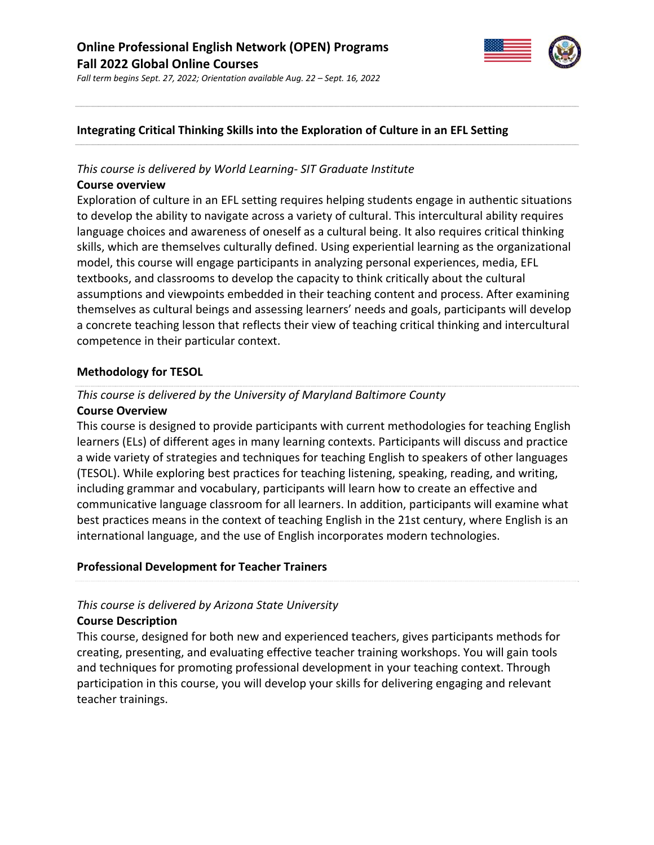

*Fall term begins Sept. 27, 2022; Orientation available Aug. 22 – Sept. 16, 2022*

# **Integrating Critical Thinking Skills into the Exploration of Culture in an EFL Setting**

## *This course is delivered by World Learning‐ SIT Graduate Institute*

#### **Course overview**

Exploration of culture in an EFL setting requires helping students engage in authentic situations to develop the ability to navigate across a variety of cultural. This intercultural ability requires language choices and awareness of oneself as a cultural being. It also requires critical thinking skills, which are themselves culturally defined. Using experiential learning as the organizational model, this course will engage participants in analyzing personal experiences, media, EFL textbooks, and classrooms to develop the capacity to think critically about the cultural assumptions and viewpoints embedded in their teaching content and process. After examining themselves as cultural beings and assessing learners' needs and goals, participants will develop a concrete teaching lesson that reflects their view of teaching critical thinking and intercultural competence in their particular context.

## **Methodology for TESOL**

# *This course is delivered by the University of Maryland Baltimore County* **Course Overview**

This course is designed to provide participants with current methodologies for teaching English learners (ELs) of different ages in many learning contexts. Participants will discuss and practice a wide variety of strategies and techniques for teaching English to speakers of other languages (TESOL). While exploring best practices for teaching listening, speaking, reading, and writing, including grammar and vocabulary, participants will learn how to create an effective and communicative language classroom for all learners. In addition, participants will examine what best practices means in the context of teaching English in the 21st century, where English is an international language, and the use of English incorporates modern technologies.

## **Professional Development for Teacher Trainers**

# *This course is delivered by Arizona State University*

## **Course Description**

This course, designed for both new and experienced teachers, gives participants methods for creating, presenting, and evaluating effective teacher training workshops. You will gain tools and techniques for promoting professional development in your teaching context. Through participation in this course, you will develop your skills for delivering engaging and relevant teacher trainings.